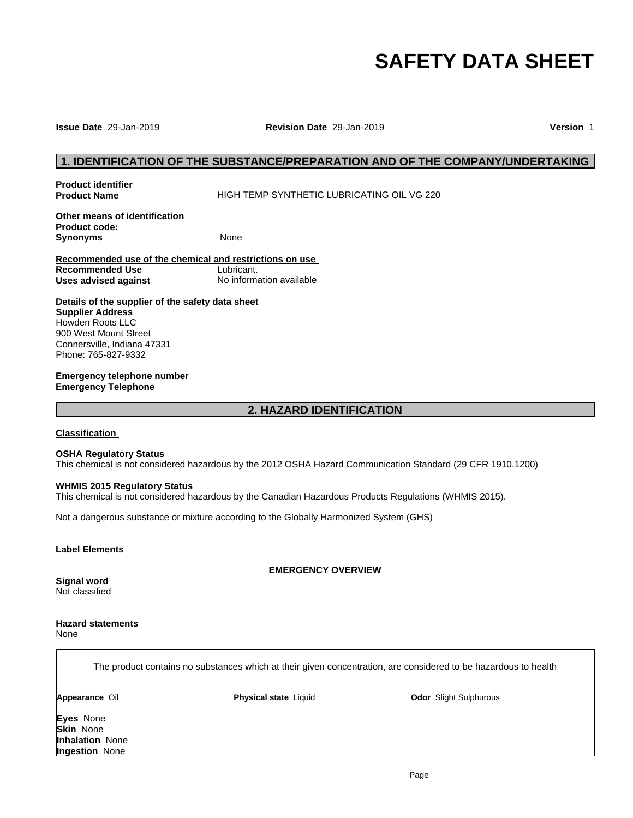# **SAFETY DATA SHEET**

### **Issue Date** 29-Jan-2019 **Revision Date** 29-Jan-2019 **Version** 1

# **1. IDENTIFICATION OF THE SUBSTANCE/PREPARATION AND OF THE COMPANY/UNDERTAKING<br>1. IDENTIFICATION OF THE SUBSTANCE/PREPARATION AND OF THE COMPANY/UNDERTAKING<br>1. Indust Name HIGH TEMP SYNTHETIC LUBRICATING OIL VG 220**

**Product identifier** 

**HIGH TEMP SYNTHETIC LUBRICATING OIL VG 220** 

**Other means of identification Product code: Synonyms** None

**Recommended use of the chemical and restrictions on use Recommended Use** Lubricant. **Uses advised against** No information available trictions on use<br><u>nt.</u><br>mation available<br>eet<br>2. HAZARD IDENTIFICATION

**Details of the supplier of the safety data sheet Supplier Address** Howden Roots LLC 900 West Mount Street Connersville, Indiana 47331 Phone: 765-827-9332

**Emergency telephone number Emergency Telephone**

### **Classification**

### **OSHA Regulatory Status**

This chemical is not considered hazardous by the 2012 OSHA Hazard Communication Standard (29 CFR 1910.1200)

# **WHMIS 2015 Regulatory Status**

This chemical is not considered hazardous by the Canadian Hazardous Products Regulations (WHMIS 2015).

Not a dangerous substance or mixture according to the Globally Harmonized System (GHS)

### **Label Elements**

**EMERGENCY OVERVIEW**

**Signal word** Not classified

### **Hazard statements** None

The product contains no substances which at their given concentration, are considered to be hazardous to health

**Appearance** Oil **Physical state** Liquid

**Odor** Slight Sulphurous

**Eyes** None **Skin** None **Inhalation** None **Ingestion** None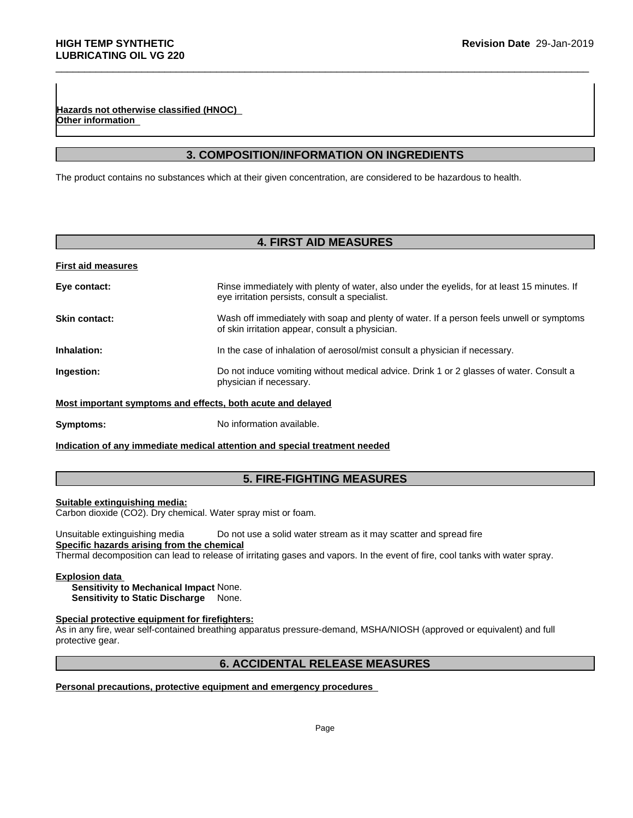**Revision Date 29-Jan-2019**<br> **3. COMPOSITION/INFORMATION ON INGREDIENTS**<br> **3. COMPOSITION/INFORMATION ON INGREDIENTS**<br>
The process which at their given concentration, are considered to be hazardous to health. The product contains no substances which at their given concentration, are considered to be hazardous to health.

### **First aid measures**

| Hazards not otherwise classified (HNOC)<br>Other information |                                                                                                                                               |
|--------------------------------------------------------------|-----------------------------------------------------------------------------------------------------------------------------------------------|
|                                                              |                                                                                                                                               |
|                                                              | 3. COMPOSITION/INFORMATION ON INGREDIENTS                                                                                                     |
|                                                              | The product contains no substances which at their given concentration, are considered to be hazardous to health.                              |
|                                                              |                                                                                                                                               |
|                                                              |                                                                                                                                               |
|                                                              | <b>4. FIRST AID MEASURES</b>                                                                                                                  |
| <b>First aid measures</b>                                    |                                                                                                                                               |
| Eye contact:                                                 | Rinse immediately with plenty of water, also under the eyelids, for at least 15 minutes. If<br>eye irritation persists, consult a specialist. |
| <b>Skin contact:</b>                                         | Wash off immediately with soap and plenty of water. If a person feels unwell or symptoms<br>of skin irritation appear, consult a physician.   |
| Inhalation:                                                  | In the case of inhalation of aerosol/mist consult a physician if necessary.                                                                   |
| Ingestion:                                                   | Do not induce vomiting without medical advice. Drink 1 or 2 glasses of water. Consult a<br>physician if necessary.                            |
|                                                              | Most important symptoms and effects, both acute and delayed                                                                                   |
| Symptoms:                                                    | No information available.                                                                                                                     |
|                                                              | Indication of any immediate medical attention and special treatment needed                                                                    |
|                                                              |                                                                                                                                               |
|                                                              | <b>5. FIRE-FIGHTING MEASURES</b>                                                                                                              |

### **Suitable extinguishing media:**

Unsuitable extinguishing media Do not use a solid water stream as it may scatter and spread fire **Specific hazards arising from the chemical** ater spray mist or foam.<br>
Do not use a solid water stream as it may scatter and spread fire<br>
<u>mical</u><br>
sase of irritating gases and vapors. In the event of fire, cool tanks with water spray.<br>
None.<br> **ighters:**<br>
hing apparat

Thermal decomposition can lead to release of irritating gases and vapors. In the event of fire, cool tanks with water spray.

### **Explosion data**

**Sensitivity to Mechanical Impact** None. **Sensitivity to Static Discharge** None.

# **Special protective equipment for firefighters:**

As in any fire, wear self-contained breathing apparatus pressure-demand, MSHA/NIOSH (approved or equivalent) and full protective gear.

# **Personal precautions, protective equipment and emergency procedures**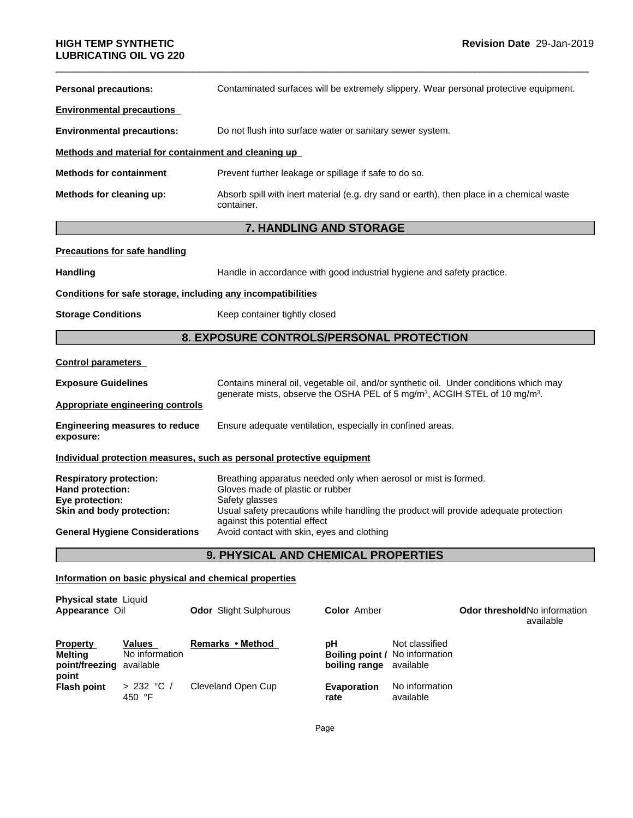| <b>LUBRICATING OIL VG 220</b>                                                                      |                                                                                                                                                                                                                                                |
|----------------------------------------------------------------------------------------------------|------------------------------------------------------------------------------------------------------------------------------------------------------------------------------------------------------------------------------------------------|
| <b>Personal precautions:</b>                                                                       | Contaminated surfaces will be extremely slippery. Wear personal protective equipment.                                                                                                                                                          |
| <b>Environmental precautions</b>                                                                   |                                                                                                                                                                                                                                                |
| <b>Environmental precautions:</b>                                                                  | Do not flush into surface water or sanitary sewer system.                                                                                                                                                                                      |
| Methods and material for containment and cleaning up                                               |                                                                                                                                                                                                                                                |
| <b>Methods for containment</b>                                                                     | Prevent further leakage or spillage if safe to do so.                                                                                                                                                                                          |
| Methods for cleaning up:                                                                           | Absorb spill with inert material (e.g. dry sand or earth), then place in a chemical waste<br>container.                                                                                                                                        |
|                                                                                                    | 7. HANDLING AND STORAGE                                                                                                                                                                                                                        |
| <b>Precautions for safe handling</b>                                                               |                                                                                                                                                                                                                                                |
| <b>Handling</b>                                                                                    | Handle in accordance with good industrial hygiene and safety practice.                                                                                                                                                                         |
| Conditions for safe storage, including any incompatibilities                                       |                                                                                                                                                                                                                                                |
| <b>Storage Conditions</b>                                                                          | Keep container tightly closed                                                                                                                                                                                                                  |
|                                                                                                    | 8. EXPOSURE CONTROLS/PERSONAL PROTECTION                                                                                                                                                                                                       |
| <b>Control parameters</b>                                                                          |                                                                                                                                                                                                                                                |
| <b>Exposure Guidelines</b>                                                                         | Contains mineral oil, vegetable oil, and/or synthetic oil. Under conditions which may<br>generate mists, observe the OSHA PEL of 5 mg/m <sup>3</sup> , ACGIH STEL of 10 mg/m <sup>3</sup> .                                                    |
| <b>Appropriate engineering controls</b>                                                            |                                                                                                                                                                                                                                                |
| <b>Engineering measures to reduce</b><br>exposure:                                                 | Ensure adequate ventilation, especially in confined areas.                                                                                                                                                                                     |
|                                                                                                    | Individual protection measures, such as personal protective equipment                                                                                                                                                                          |
| <b>Respiratory protection:</b><br>Hand protection:<br>Eye protection:<br>Skin and body protection: | Breathing apparatus needed only when aerosol or mist is formed.<br>Gloves made of plastic or rubber<br>Safety glasses<br>Usual safety precautions while handling the product will provide adequate protection<br>against this potential effect |
| <b>General Hygiene Considerations</b>                                                              | Avoid contact with skin, eyes and clothing                                                                                                                                                                                                     |
|                                                                                                    | 9. PHYSICAL AND CHEMICAL PROPERTIES                                                                                                                                                                                                            |
| Information on basic physical and chemical properties                                              |                                                                                                                                                                                                                                                |
| <b>Physical state Liquid</b>                                                                       |                                                                                                                                                                                                                                                |

| <b>Physical state Liquid</b><br>Appearance Oil         |                                 | <b>Odor</b> Slight Sulphurous | <b>Color</b> Amber                                                            |                             | <b>Odor threshold No information</b><br>available |
|--------------------------------------------------------|---------------------------------|-------------------------------|-------------------------------------------------------------------------------|-----------------------------|---------------------------------------------------|
| <b>Property</b><br>Melting<br>point/freezing available | <b>Values</b><br>No information | Remarks • Method              | рH<br><b>Boiling point / No information</b><br><b>boiling range</b> available | Not classified              |                                                   |
| point<br><b>Flash point</b>                            | > 232 °C/<br>450 °F             | Cleveland Open Cup            | <b>Evaporation</b><br>rate                                                    | No information<br>available |                                                   |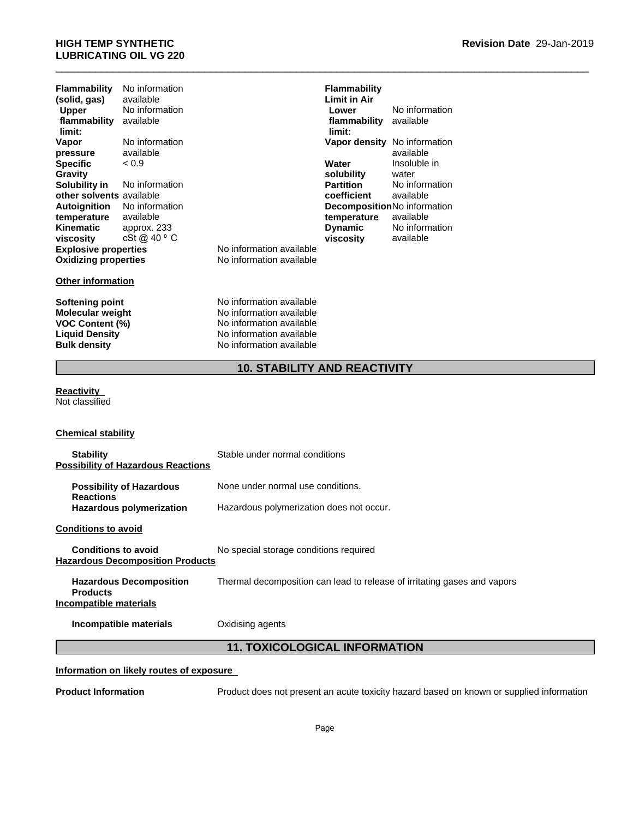# \_\_\_\_\_\_\_\_\_\_\_\_\_\_\_\_\_\_\_\_\_\_\_\_\_\_\_\_\_\_\_\_\_\_\_\_\_\_\_\_\_\_\_\_\_\_\_\_\_\_\_\_\_\_\_\_\_\_\_\_\_\_\_\_\_\_\_\_\_\_\_\_\_\_\_\_\_\_\_\_\_\_\_\_\_\_\_\_\_\_\_\_\_ **HIGH TEMP SYNTHETIC LUBRICATING OIL VG 220**

| Flammability                | No information |                  |
|-----------------------------|----------------|------------------|
| (solid, gas)                | available      |                  |
| <b>Upper</b>                | No information |                  |
| flammability                | available      |                  |
| limit:                      |                |                  |
| Vapor                       | No information |                  |
| pressure                    | available      |                  |
| <b>Specific</b>             | < 0.9          |                  |
| Gravity                     |                |                  |
| Solubility in               | No information |                  |
| other solvents available    |                |                  |
| <b>Autoignition</b>         | No information |                  |
| temperature                 | available      |                  |
| Kinematic                   | approx. 233    |                  |
| viscosity                   | cSt@40°C       |                  |
| <b>Explosive properties</b> |                | No information   |
| <b>Oxidizing properties</b> |                | No information a |

### **Other information**

**Softening point No information available**<br> **Molecular weight No information available Molecular weight** No information available<br> **VOC Content (%)** No information available **VOC Content (%)**<br> **Liquid Density**<br> **No information available**<br>
No information available **No information available Bulk density** No information available

**Explosive properties** No information available **Oxidizing properties** No information available

# **10. STABILITY AND REACTIVITY<br>
10. STABILITY AND REACTIVITY<br>
10. STABILITY AND REACTIVITY<br>
10. STABILITY AND REACTIVITY<br>
10. STABILITY AND REACTIVITY Flammability Limit in Air Lower** No information **flammability limit:** available **Vapor density** No information available < 0.9 **Water solubility** Insoluble in water **Partition** No information **coefficient** available **Decomposition** No information **temperature** available cSt @ 40 ⁰C **viscosity Dynamic** No information available

# **Reactivity**

Not classified

# **Chemical stability**

| <b>Stability</b><br><b>Possibility of Hazardous Reactions</b>               | Stable under normal conditions                                                           |
|-----------------------------------------------------------------------------|------------------------------------------------------------------------------------------|
| <b>Possibility of Hazardous</b><br><b>Reactions</b>                         | None under normal use conditions.                                                        |
| <b>Hazardous polymerization</b>                                             | Hazardous polymerization does not occur.                                                 |
| <b>Conditions to avoid</b>                                                  |                                                                                          |
| <b>Conditions to avoid</b><br><b>Hazardous Decomposition Products</b>       | No special storage conditions required                                                   |
| <b>Hazardous Decomposition</b><br><b>Products</b><br>Incompatible materials | Thermal decomposition can lead to release of irritating gases and vapors                 |
| Incompatible materials                                                      | Oxidising agents                                                                         |
|                                                                             | <b>11. TOXICOLOGICAL INFORMATION</b>                                                     |
| Information on likely routes of exposure                                    |                                                                                          |
| <b>Product Information</b>                                                  | Product does not present an acute toxicity hazard based on known or supplied information |

# **Information on likely routes of exposure**

**Product Information** Product does not present an acute toxicity hazard based on known or supplied information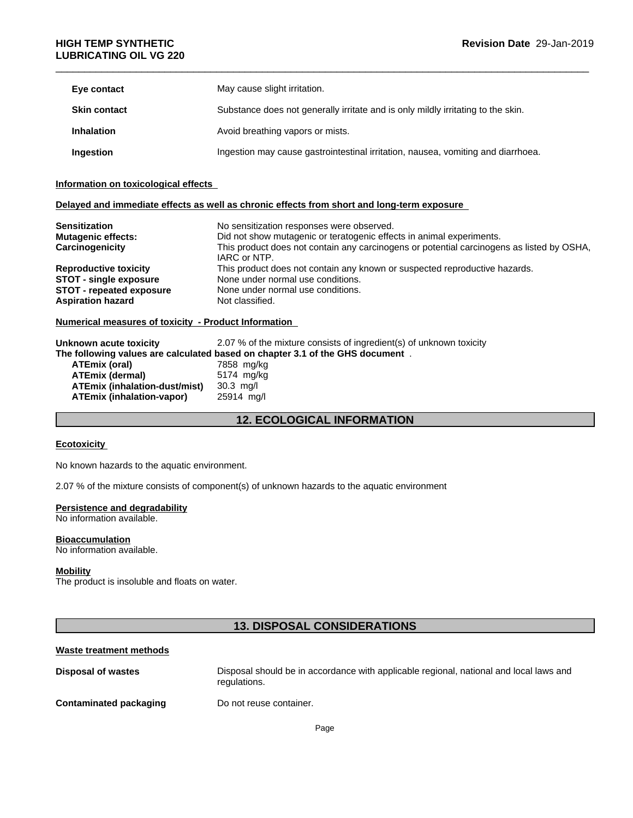| Eye contact         | May cause slight irritation.                                                     |
|---------------------|----------------------------------------------------------------------------------|
| <b>Skin contact</b> | Substance does not generally irritate and is only mildly irritating to the skin. |
| <b>Inhalation</b>   | Avoid breathing vapors or mists.                                                 |
| Ingestion           | Ingestion may cause gastrointestinal irritation, nausea, vomiting and diarrhoea. |

### **Information on toxicological effects**

# **Delayed and immediate effects as well as chronic effects from short and long-term exposure**

| <b>Sensitization</b>                                        | No sensitization responses were observed.                                                                                                                                         |  |  |
|-------------------------------------------------------------|-----------------------------------------------------------------------------------------------------------------------------------------------------------------------------------|--|--|
| <b>Mutagenic effects:</b>                                   | Did not show mutagenic or teratogenic effects in animal experiments.<br>This product does not contain any carcinogens or potential carcinogens as listed by OSHA,<br>IARC or NTP. |  |  |
| Carcinogenicity                                             |                                                                                                                                                                                   |  |  |
| <b>Reproductive toxicity</b>                                | This product does not contain any known or suspected reproductive hazards.                                                                                                        |  |  |
| <b>STOT - single exposure</b>                               | None under normal use conditions.                                                                                                                                                 |  |  |
| <b>STOT - repeated exposure</b>                             | None under normal use conditions.                                                                                                                                                 |  |  |
| <b>Aspiration hazard</b><br>Not classified.                 |                                                                                                                                                                                   |  |  |
| <b>Numerical measures of toxicity - Product Information</b> |                                                                                                                                                                                   |  |  |
| Unknown acute toxicity                                      | 2.07 % of the mixture consists of ingredient(s) of unknown toxicity                                                                                                               |  |  |
|                                                             | The following values are calculated based on chapter 3.1 of the GHS document.                                                                                                     |  |  |
| ATEmix (oral)                                               | 7858 mg/kg                                                                                                                                                                        |  |  |
| <b>ATEmix (dermal)</b>                                      | 5174 mg/kg                                                                                                                                                                        |  |  |
| ATEmix (inhalation-dust/mist)                               | $30.3$ mg/l                                                                                                                                                                       |  |  |
| <b>ATEmix (inhalation-vapor)</b>                            | 25914 mg/l                                                                                                                                                                        |  |  |
|                                                             | <b>12. ECOLOGICAL INFORMATION</b>                                                                                                                                                 |  |  |

### **Numerical measures of toxicity - Product Information**

| Unknown acute toxicity               | 2.07 % of the mixture consists of ingredient(s) of unknown toxicity           |
|--------------------------------------|-------------------------------------------------------------------------------|
|                                      | The following values are calculated based on chapter 3.1 of the GHS document. |
| ATEmix (oral)                        | 7858 mg/kg                                                                    |
| <b>ATEmix (dermal)</b>               | 5174 mg/kg                                                                    |
| <b>ATEmix (inhalation-dust/mist)</b> | $30.3$ mg/l                                                                   |
| <b>ATEmix (inhalation-vapor)</b>     | 25914 mg/l                                                                    |

### **Ecotoxicity**

# **Persistence and degradability**

### **Bioaccumulation**

# **Mobility**

### **Waste treatment methods**

| LUULUAIUILY                                                      |                                                                                                        |
|------------------------------------------------------------------|--------------------------------------------------------------------------------------------------------|
| No known hazards to the aquatic environment.                     |                                                                                                        |
|                                                                  | 2.07 % of the mixture consists of component(s) of unknown hazards to the aquatic environment           |
| Persistence and degradability<br>No information available.       |                                                                                                        |
| <b>Bioaccumulation</b><br>No information available.              |                                                                                                        |
| <b>Mobility</b><br>The product is insoluble and floats on water. |                                                                                                        |
|                                                                  | <b>13. DISPOSAL CONSIDERATIONS</b>                                                                     |
| <b>Waste treatment methods</b>                                   |                                                                                                        |
| <b>Disposal of wastes</b>                                        | Disposal should be in accordance with applicable regional, national and local laws and<br>regulations. |
| <b>Contaminated packaging</b>                                    | Do not reuse container.                                                                                |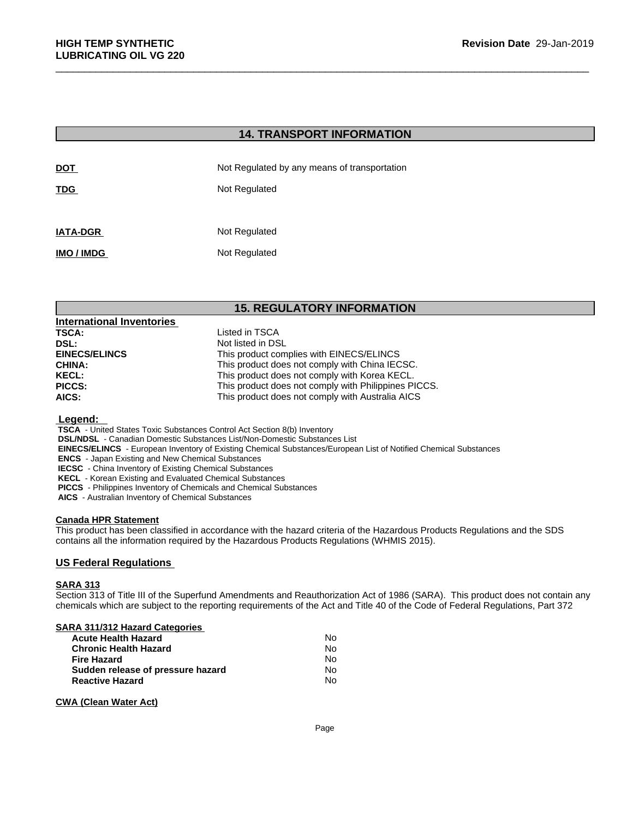| <b>HIGH TEMP SYNTHETIC</b><br><b>LUBRICATING OIL VG 220</b> |                                              | Revision Date 29-Jan- |
|-------------------------------------------------------------|----------------------------------------------|-----------------------|
|                                                             |                                              |                       |
|                                                             | <b>14. TRANSPORT INFORMATION</b>             |                       |
| <b>DOT</b>                                                  | Not Regulated by any means of transportation |                       |
| TDG                                                         | Not Regulated                                |                       |
| <b>IATA-DGR</b>                                             | Not Regulated                                |                       |
| IMO / IMDG                                                  | Not Regulated                                |                       |
|                                                             |                                              |                       |
|                                                             | <b>15. REGULATORY INFORMATION</b>            |                       |
| <b>International Inventories</b><br><b>TSCA:</b>            | Listed in TSCA                               |                       |
| DSL:                                                        | Not listed in DSL                            |                       |
| <b>FINECS/FI INCS</b>                                       | This product complies with FINECS/FLINCS     |                       |

| <b>International Inventories</b> |                                                      |
|----------------------------------|------------------------------------------------------|
| <b>TSCA:</b>                     | Listed in TSCA                                       |
| DSL:                             | Not listed in DSL                                    |
| <b>EINECS/ELINCS</b>             | This product complies with EINECS/ELINCS             |
| <b>CHINA:</b>                    | This product does not comply with China IECSC.       |
| <b>KECL:</b>                     | This product does not comply with Korea KECL.        |
| <b>PICCS:</b>                    | This product does not comply with Philippines PICCS. |
| AICS:                            | This product does not comply with Australia AICS     |

### **Legend:**

 **TSCA** - United States Toxic Substances Control Act Section 8(b) Inventory

 **DSL/NDSL** - Canadian Domestic Substances List/Non-Domestic Substances List

 **EINECS/ELINCS** - European Inventory of Existing Chemical Substances/European List of Notified Chemical Substances

 **ENCS** - Japan Existing and New Chemical Substances

 **IECSC** - China Inventory of Existing Chemical Substances

 **KECL** - Korean Existing and Evaluated Chemical Substances

 **PICCS** - Philippines Inventory of Chemicals and Chemical Substances

 **AICS** - Australian Inventory of Chemical Substances

### **Canada HPR Statement**

This product has been classified in accordance with the hazard criteria of the Hazardous Products Regulations and the SDS contains all the information required by the Hazardous Products Regulations (WHMIS 2015).

# **US Federal Regulations**

# **SARA 313**

Section 313 of Title III of the Superfund Amendments and Reauthorization Act of 1986 (SARA). This product does not contain any chemicals which are subject to the reporting requirements of the Act and Title 40 of the Code of Federal Regulations, Part 372

### **SARA 311/312 Hazard Categories**

| <b>Acute Health Hazard</b>        | Nο |
|-----------------------------------|----|
| <b>Chronic Health Hazard</b>      | Nο |
| <b>Fire Hazard</b>                | Nο |
| Sudden release of pressure hazard | Nο |
| <b>Reactive Hazard</b>            | N٥ |

# **CWA (Clean Water Act)**